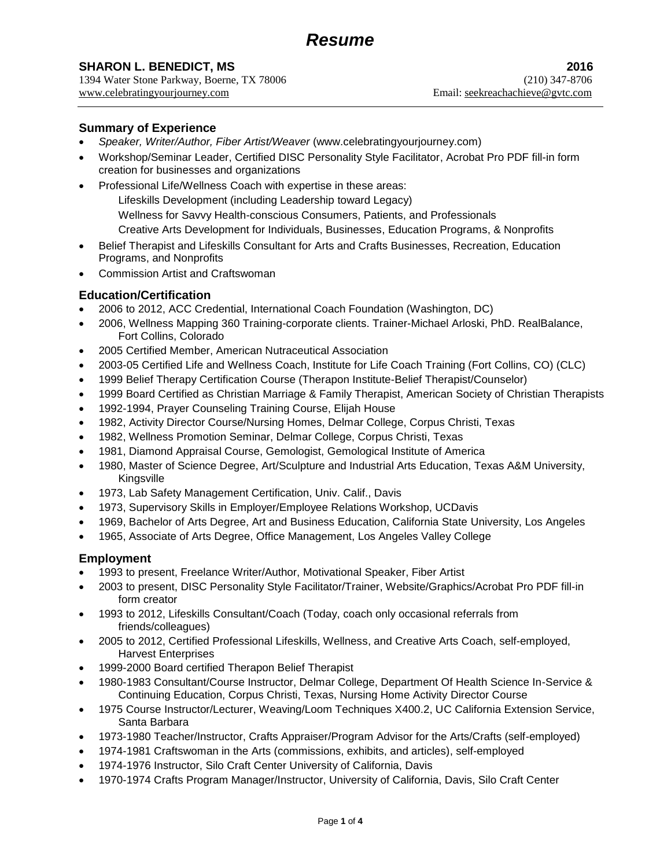# **SHARON L. BENEDICT, MS** 2016

1394 Water Stone Parkway, Boerne, TX 78006 (210) 347-8706 www.celebratingyourjourney.com Email: seekreachachieve@gvtc.com

### **Summary of Experience**

- *Speaker, Writer/Author, Fiber Artist/Weaver* [\(www.celebratingyourjourney.com\)](http://www.celebratingyourjourney.com/)
- Workshop/Seminar Leader, Certified DISC Personality Style Facilitator, Acrobat Pro PDF fill-in form creation for businesses and organizations
- Professional Life/Wellness Coach with expertise in these areas: Lifeskills Development (including Leadership toward Legacy) Wellness for Savvy Health-conscious Consumers, Patients, and Professionals Creative Arts Development for Individuals, Businesses, Education Programs, & Nonprofits
- Belief Therapist and Lifeskills Consultant for Arts and Crafts Businesses, Recreation, Education Programs, and Nonprofits
- Commission Artist and Craftswoman

# **Education/Certification**

- 2006 to 2012, ACC Credential, International Coach Foundation (Washington, DC)
- 2006, Wellness Mapping 360 Training-corporate clients. Trainer-Michael Arloski, PhD. RealBalance, Fort Collins, Colorado
- 2005 Certified Member, American Nutraceutical Association
- 2003-05 Certified Life and Wellness Coach, Institute for Life Coach Training (Fort Collins, CO) (CLC)
- 1999 Belief Therapy Certification Course (Therapon Institute-Belief Therapist/Counselor)
- 1999 Board Certified as Christian Marriage & Family Therapist, American Society of Christian Therapists
- 1992-1994, Prayer Counseling Training Course, Elijah House
- 1982, Activity Director Course/Nursing Homes, Delmar College, Corpus Christi, Texas
- 1982, Wellness Promotion Seminar, Delmar College, Corpus Christi, Texas
- 1981, Diamond Appraisal Course, Gemologist, Gemological Institute of America
- 1980, Master of Science Degree, Art/Sculpture and Industrial Arts Education, Texas A&M University, Kingsville
- 1973, Lab Safety Management Certification, Univ. Calif., Davis
- 1973, Supervisory Skills in Employer/Employee Relations Workshop, UCDavis
- 1969, Bachelor of Arts Degree, Art and Business Education, California State University, Los Angeles
- 1965, Associate of Arts Degree, Office Management, Los Angeles Valley College

## **Employment**

- 1993 to present, Freelance Writer/Author, Motivational Speaker, Fiber Artist
- 2003 to present, DISC Personality Style Facilitator/Trainer, Website/Graphics/Acrobat Pro PDF fill-in form creator
- 1993 to 2012, Lifeskills Consultant/Coach (Today, coach only occasional referrals from friends/colleagues)
- 2005 to 2012, Certified Professional Lifeskills, Wellness, and Creative Arts Coach, self-employed, Harvest Enterprises
- 1999-2000 Board certified Therapon Belief Therapist
- 1980-1983 Consultant/Course Instructor, Delmar College, Department Of Health Science In-Service & Continuing Education, Corpus Christi, Texas, Nursing Home Activity Director Course
- 1975 Course Instructor/Lecturer, Weaving/Loom Techniques X400.2, UC California Extension Service, Santa Barbara
- 1973-1980 Teacher/Instructor, Crafts Appraiser/Program Advisor for the Arts/Crafts (self-employed)
- 1974-1981 Craftswoman in the Arts (commissions, exhibits, and articles), self-employed
- 1974-1976 Instructor, Silo Craft Center University of California, Davis
- 1970-1974 Crafts Program Manager/Instructor, University of California, Davis, Silo Craft Center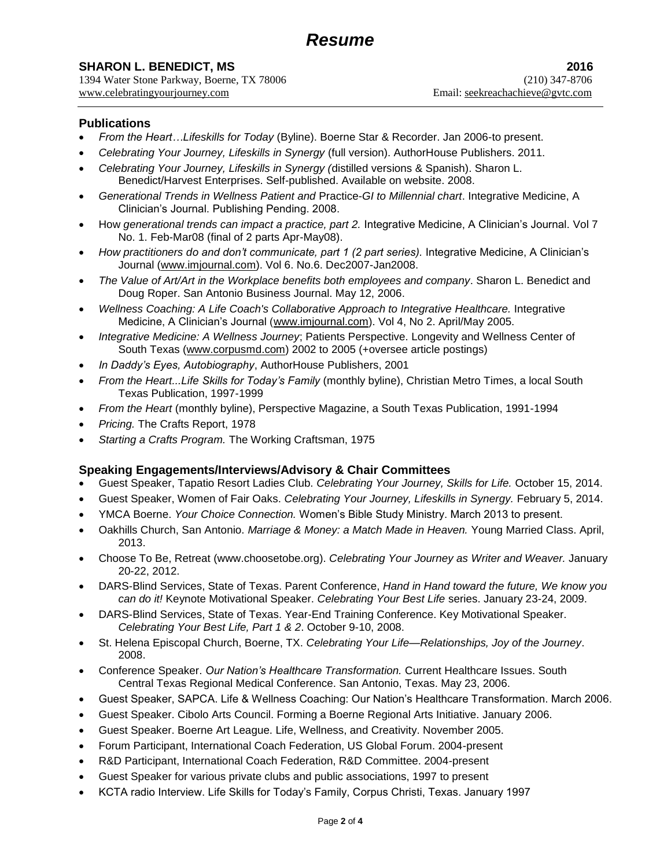1394 Water Stone Parkway, Boerne, TX 78006 (210) 347-8706 www.celebratingyourjourney.com Email: seekreachachieve@gvtc.com

## **Publications**

- *From the Heart…Lifeskills for Today* (Byline). Boerne Star & Recorder. Jan 2006-to present.
- *Celebrating Your Journey, Lifeskills in Synergy* (full version). AuthorHouse Publishers. 2011.
- *Celebrating Your Journey, Lifeskills in Synergy (*distilled versions & Spanish). Sharon L. Benedict/Harvest Enterprises. Self-published. Available on website. 2008.
- *Generational Trends in Wellness Patient and* Practice-*GI to Millennial chart*. Integrative Medicine, A Clinician's Journal. Publishing Pending. 2008.
- How *generational trends can impact a practice, part 2.* Integrative Medicine, A Clinician's Journal. Vol 7 No. 1. Feb-Mar08 (final of 2 parts Apr-May08).
- *How practitioners do and don't communicate, part 1 (2 part series).* Integrative Medicine, A Clinician's Journal [\(www.imjournal.com\)](http://www.imjournal.com/). Vol 6. No.6. Dec2007-Jan2008.
- *The Value of Art/Art in the Workplace benefits both employees and company*. Sharon L. Benedict and Doug Roper. San Antonio Business Journal. May 12, 2006.
- *Wellness Coaching: A Life Coach's Collaborative Approach to Integrative Healthcare.* Integrative Medicine, A Clinician's Journal [\(www.imjournal.com\)](http://www.imjournal.com/). Vol 4, No 2. April/May 2005.
- *Integrative Medicine: A Wellness Journey*; Patients Perspective. Longevity and Wellness Center of South Texas [\(www.corpusmd.com\)](http://www.corpusmd.com/) 2002 to 2005 (+oversee article postings)
- *In Daddy's Eyes, Autobiography*, AuthorHouse Publishers, 2001
- *From the Heart...Life Skills for Today's Family* (monthly byline), Christian Metro Times, a local South Texas Publication, 1997-1999
- *From the Heart* (monthly byline), Perspective Magazine, a South Texas Publication, 1991-1994
- *Pricing.* The Crafts Report, 1978
- *Starting a Crafts Program.* The Working Craftsman, 1975

## **Speaking Engagements/Interviews/Advisory & Chair Committees**

- Guest Speaker, Tapatio Resort Ladies Club. *Celebrating Your Journey, Skills for Life.* October 15, 2014.
- Guest Speaker, Women of Fair Oaks. *Celebrating Your Journey, Lifeskills in Synergy.* February 5, 2014.
- YMCA Boerne. *Your Choice Connection.* Women's Bible Study Ministry. March 2013 to present.
- Oakhills Church, San Antonio. *Marriage & Money: a Match Made in Heaven.* Young Married Class. April, 2013.
- Choose To Be, Retreat [\(www.choosetobe.org\)](http://www.choosetobe.org/). *Celebrating Your Journey as Writer and Weaver.* January 20-22, 2012.
- DARS-Blind Services, State of Texas. Parent Conference, *Hand in Hand toward the future, We know you can do it!* Keynote Motivational Speaker. *Celebrating Your Best Life* series. January 23-24, 2009.
- DARS-Blind Services, State of Texas. Year-End Training Conference. Key Motivational Speaker. *Celebrating Your Best Life, Part 1 & 2*. October 9-10, 2008.
- St. Helena Episcopal Church, Boerne, TX. *Celebrating Your Life—Relationships, Joy of the Journey*. 2008.
- Conference Speaker. *Our Nation's Healthcare Transformation.* Current Healthcare Issues. South Central Texas Regional Medical Conference. San Antonio, Texas. May 23, 2006.
- Guest Speaker, SAPCA. Life & Wellness Coaching: Our Nation's Healthcare Transformation. March 2006.
- Guest Speaker. Cibolo Arts Council. Forming a Boerne Regional Arts Initiative. January 2006.
- Guest Speaker. Boerne Art League. Life, Wellness, and Creativity. November 2005.
- Forum Participant, International Coach Federation, US Global Forum. 2004-present
- R&D Participant, International Coach Federation, R&D Committee. 2004-present
- Guest Speaker for various private clubs and public associations, 1997 to present
- KCTA radio Interview. Life Skills for Today's Family, Corpus Christi, Texas. January 1997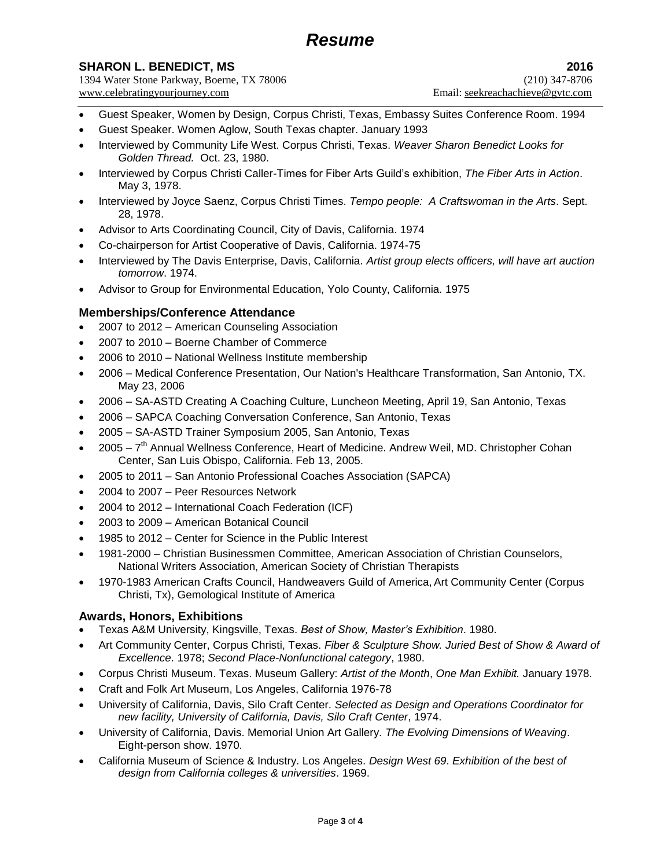# *Resume*

# **SHARON L. BENEDICT, MS** 2016

1394 Water Stone Parkway, Boerne, TX 78006 (210) 347-8706 www.celebratingyourjourney.com Email: seekreachachieve@gvtc.com

- Guest Speaker, Women by Design, Corpus Christi, Texas, Embassy Suites Conference Room. 1994
- Guest Speaker. Women Aglow, South Texas chapter. January 1993
- Interviewed by Community Life West. Corpus Christi, Texas. *Weaver Sharon Benedict Looks for Golden Thread.* Oct. 23, 1980.
- Interviewed by Corpus Christi Caller-Times for Fiber Arts Guild's exhibition, *The Fiber Arts in Action*. May 3, 1978.
- Interviewed by Joyce Saenz, Corpus Christi Times. *Tempo people: A Craftswoman in the Arts*. Sept. 28, 1978.
- Advisor to Arts Coordinating Council, City of Davis, California. 1974
- Co-chairperson for Artist Cooperative of Davis, California. 1974-75
- Interviewed by The Davis Enterprise, Davis, California. *Artist group elects officers, will have art auction tomorrow*. 1974.
- Advisor to Group for Environmental Education, Yolo County, California. 1975

## **Memberships/Conference Attendance**

- 2007 to 2012 American Counseling Association
- 2007 to 2010 Boerne Chamber of Commerce
- 2006 to 2010 National Wellness Institute membership
- 2006 Medical Conference Presentation, Our Nation's Healthcare Transformation, San Antonio, TX. May 23, 2006
- 2006 SA-ASTD Creating A Coaching Culture, Luncheon Meeting, April 19, San Antonio, Texas
- 2006 SAPCA Coaching Conversation Conference, San Antonio, Texas
- 2005 SA-ASTD Trainer Symposium 2005, San Antonio, Texas
- 2005 7<sup>th</sup> Annual Wellness Conference, Heart of Medicine. Andrew Weil, MD. Christopher Cohan Center, San Luis Obispo, California. Feb 13, 2005.
- 2005 to 2011 San Antonio Professional Coaches Association (SAPCA)
- 2004 to 2007 Peer Resources Network
- 2004 to 2012 International Coach Federation (ICF)
- 2003 to 2009 American Botanical Council
- 1985 to 2012 Center for Science in the Public Interest
- 1981-2000 Christian Businessmen Committee, American Association of Christian Counselors, National Writers Association, American Society of Christian Therapists
- 1970-1983 American Crafts Council, Handweavers Guild of America, Art Community Center (Corpus Christi, Tx), Gemological Institute of America

#### **Awards, Honors, Exhibitions**

- Texas A&M University, Kingsville, Texas. *Best of Show, Master's Exhibition*. 1980.
- Art Community Center, Corpus Christi, Texas. *Fiber & Sculpture Show. Juried Best of Show & Award of Excellence*. 1978; *Second Place-Nonfunctional category*, 1980.
- Corpus Christi Museum. Texas. Museum Gallery: *Artist of the Month*, *One Man Exhibit.* January 1978.
- Craft and Folk Art Museum, Los Angeles, California 1976-78
- University of California, Davis, Silo Craft Center. *Selected as Design and Operations Coordinator for new facility, University of California, Davis, Silo Craft Center*, 1974.
- University of California, Davis. Memorial Union Art Gallery. *The Evolving Dimensions of Weaving*. Eight-person show. 1970.
- California Museum of Science & Industry. Los Angeles. *Design West 69*. *Exhibition of the best of design from California colleges & universities*. 1969.